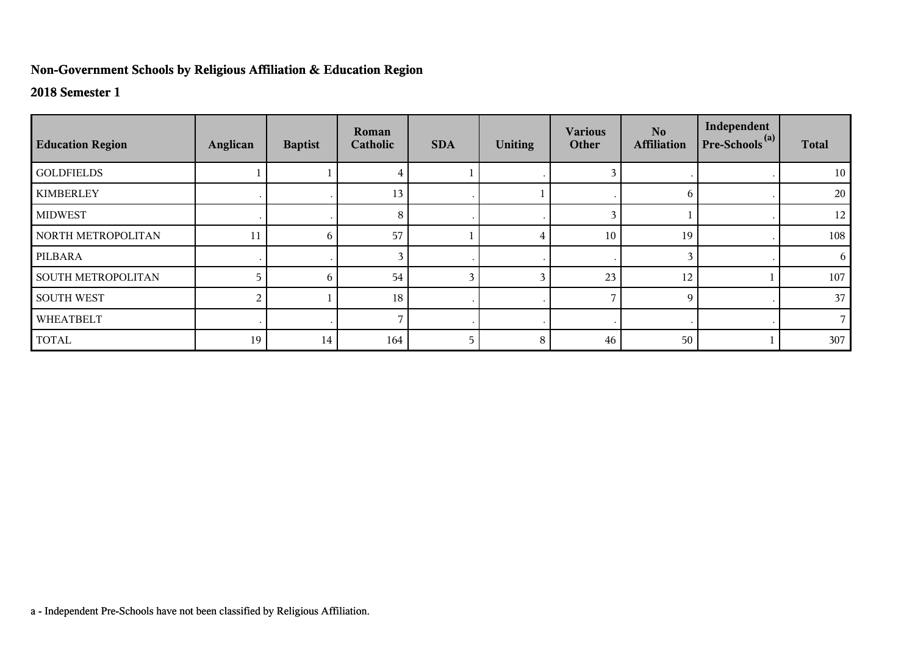## **Non-Government Schools by Religious Affiliation & Education Region**

## **2018 Semester 1**

| <b>Education Region</b>   | Anglican | <b>Baptist</b> | Roman<br>Catholic | <b>SDA</b> | <b>Uniting</b> | <b>Various</b><br>Other | No.<br><b>Affiliation</b> | Independent<br>$Pre-Schools(a)$ | <b>Total</b> |
|---------------------------|----------|----------------|-------------------|------------|----------------|-------------------------|---------------------------|---------------------------------|--------------|
| <b>GOLDFIELDS</b>         |          |                |                   |            |                |                         |                           |                                 | 10           |
| <b>KIMBERLEY</b>          |          |                | 13                |            |                |                         | 6                         |                                 | 20           |
| <b>MIDWEST</b>            |          |                | 8                 |            |                | 3                       |                           |                                 | 12           |
| NORTH METROPOLITAN        | 11       | 6              | 57                |            |                | 10                      | 19                        |                                 | 108          |
| PILBARA                   |          |                |                   |            |                |                         | 3                         |                                 | 6            |
| <b>SOUTH METROPOLITAN</b> |          | 6              | 54                | 3          |                | 23                      | 12                        |                                 | 107          |
| <b>SOUTH WEST</b>         | 2        |                | 18                |            |                |                         | 9                         |                                 | 37           |
| WHEATBELT                 |          |                |                   | $\cdot$    |                |                         |                           |                                 |              |
| <b>TOTAL</b>              | 19       | 14             | 164               | 5          | 8              | 46                      | 50                        |                                 | 307          |